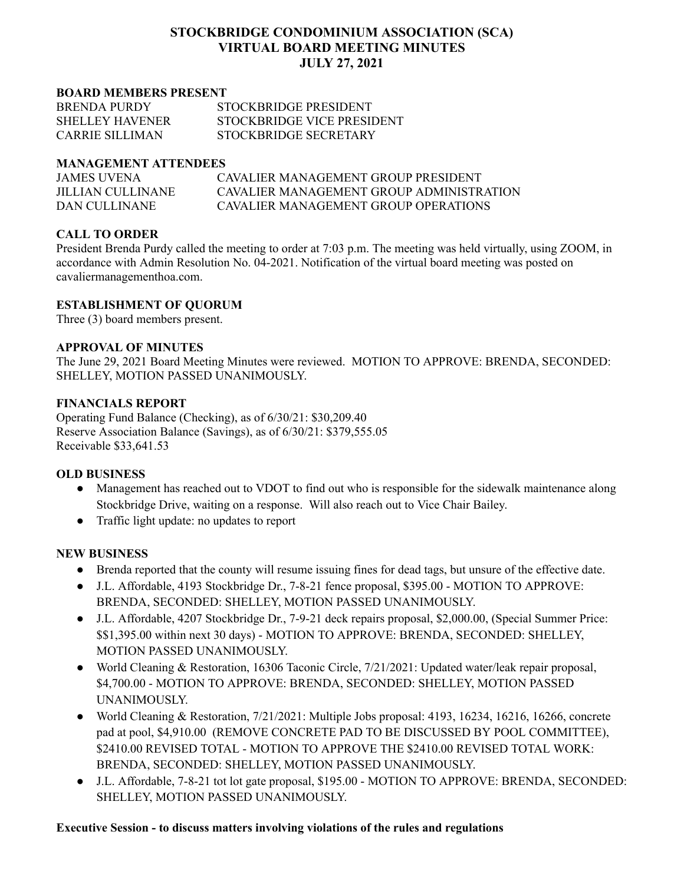# **STOCKBRIDGE CONDOMINIUM ASSOCIATION (SCA) VIRTUAL BOARD MEETING MINUTES JULY 27, 2021**

#### **BOARD MEMBERS PRESENT**

| <b>BRENDA PURDY</b>    | STOCKBRIDGE PRESIDENT      |
|------------------------|----------------------------|
| <b>SHELLEY HAVENER</b> | STOCKBRIDGE VICE PRESIDENT |
| CARRIE SILLIMAN        | STOCKBRIDGE SECRETARY      |

#### **MANAGEMENT ATTENDEES**

| JAMES UVENA        | CAVALIER MANAGEMENT GROUP PRESIDENT      |
|--------------------|------------------------------------------|
| JILLIAN CULLINANE. | CAVALIER MANAGEMENT GROUP ADMINISTRATION |
| DAN CULLINANE      | CAVALIER MANAGEMENT GROUP OPER ATIONS    |

## **CALL TO ORDER**

President Brenda Purdy called the meeting to order at 7:03 p.m. The meeting was held virtually, using ZOOM, in accordance with Admin Resolution No. 04-2021. Notification of the virtual board meeting was posted on cavaliermanagementhoa.com.

### **ESTABLISHMENT OF QUORUM**

Three (3) board members present.

### **APPROVAL OF MINUTES**

The June 29, 2021 Board Meeting Minutes were reviewed. MOTION TO APPROVE: BRENDA, SECONDED: SHELLEY, MOTION PASSED UNANIMOUSLY.

### **FINANCIALS REPORT**

Operating Fund Balance (Checking), as of 6/30/21: \$30,209.40 Reserve Association Balance (Savings), as of 6/30/21: \$379,555.05 Receivable \$33,641.53

### **OLD BUSINESS**

- Management has reached out to VDOT to find out who is responsible for the sidewalk maintenance along Stockbridge Drive, waiting on a response. Will also reach out to Vice Chair Bailey.
- Traffic light update: no updates to report

### **NEW BUSINESS**

- Brenda reported that the county will resume issuing fines for dead tags, but unsure of the effective date.
- J.L. Affordable, 4193 Stockbridge Dr., 7-8-21 fence proposal, \$395.00 MOTION TO APPROVE: BRENDA, SECONDED: SHELLEY, MOTION PASSED UNANIMOUSLY.
- J.L. Affordable, 4207 Stockbridge Dr., 7-9-21 deck repairs proposal, \$2,000.00, (Special Summer Price: \$\$1,395.00 within next 30 days) - MOTION TO APPROVE: BRENDA, SECONDED: SHELLEY, MOTION PASSED UNANIMOUSLY.
- World Cleaning & Restoration, 16306 Taconic Circle, 7/21/2021: Updated water/leak repair proposal, \$4,700.00 - MOTION TO APPROVE: BRENDA, SECONDED: SHELLEY, MOTION PASSED UNANIMOUSLY.
- World Cleaning & Restoration, 7/21/2021: Multiple Jobs proposal: 4193, 16234, 16216, 16266, concrete pad at pool, \$4,910.00 (REMOVE CONCRETE PAD TO BE DISCUSSED BY POOL COMMITTEE), \$2410.00 REVISED TOTAL - MOTION TO APPROVE THE \$2410.00 REVISED TOTAL WORK: BRENDA, SECONDED: SHELLEY, MOTION PASSED UNANIMOUSLY.
- J.L. Affordable, 7-8-21 tot lot gate proposal, \$195.00 MOTION TO APPROVE: BRENDA, SECONDED: SHELLEY, MOTION PASSED UNANIMOUSLY.

### **Executive Session - to discuss matters involving violations of the rules and regulations**